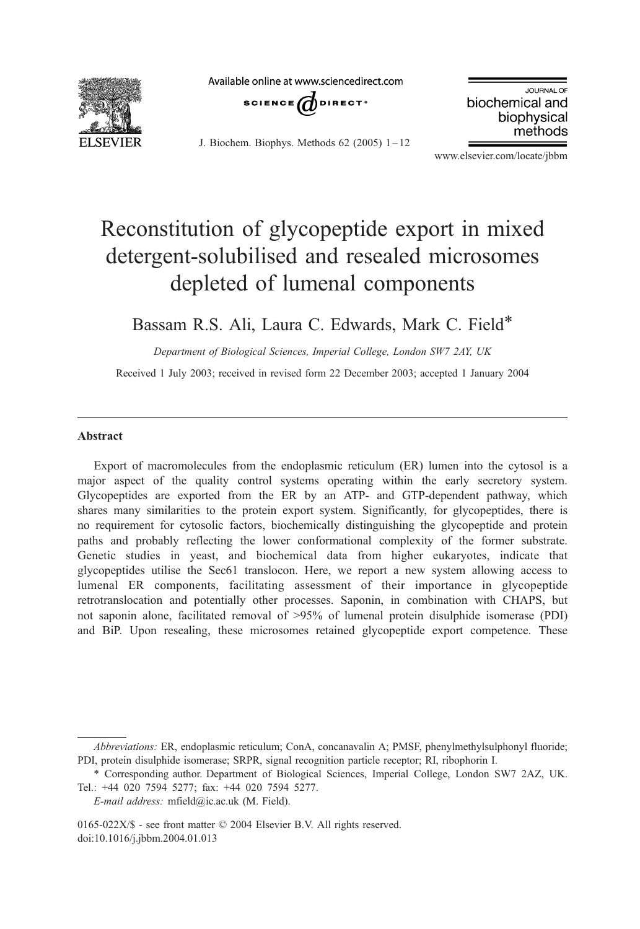

Available online at www.sciencedirect.com



J. Biochem. Biophys. Methods  $62$  (2005)  $1-12$ 

JOURNAL OF biochemical and biophysical methods

www.elsevier.com/locate/jbbm

# Reconstitution of glycopeptide export in mixed detergent-solubilised and resealed microsomes depleted of lumenal components

Bassam R.S. Ali, Laura C. Edwards, Mark C. Field\*

Department of Biological Sciences, Imperial College, London SW7 2AY, UK

Received 1 July 2003; received in revised form 22 December 2003; accepted 1 January 2004

#### Abstract

Export of macromolecules from the endoplasmic reticulum (ER) lumen into the cytosol is a major aspect of the quality control systems operating within the early secretory system. Glycopeptides are exported from the ER by an ATP- and GTP-dependent pathway, which shares many similarities to the protein export system. Significantly, for glycopeptides, there is no requirement for cytosolic factors, biochemically distinguishing the glycopeptide and protein paths and probably reflecting the lower conformational complexity of the former substrate. Genetic studies in yeast, and biochemical data from higher eukaryotes, indicate that glycopeptides utilise the Sec61 translocon. Here, we report a new system allowing access to lumenal ER components, facilitating assessment of their importance in glycopeptide retrotranslocation and potentially other processes. Saponin, in combination with CHAPS, but not saponin alone, facilitated removal of >95% of lumenal protein disulphide isomerase (PDI) and BiP. Upon resealing, these microsomes retained glycopeptide export competence. These

Abbreviations: ER, endoplasmic reticulum; ConA, concanavalin A; PMSF, phenylmethylsulphonyl fluoride; PDI, protein disulphide isomerase; SRPR, signal recognition particle receptor; RI, ribophorin I.

<sup>\*</sup> Corresponding author. Department of Biological Sciences, Imperial College, London SW7 2AZ, UK. Tel.: +44 020 7594 5277; fax: +44 020 7594 5277.

E-mail address: mfield@ic.ac.uk (M. Field).

<sup>0165-022</sup>X/\$ - see front matter  $\odot$  2004 Elsevier B.V. All rights reserved. doi:10.1016/j.jbbm.2004.01.013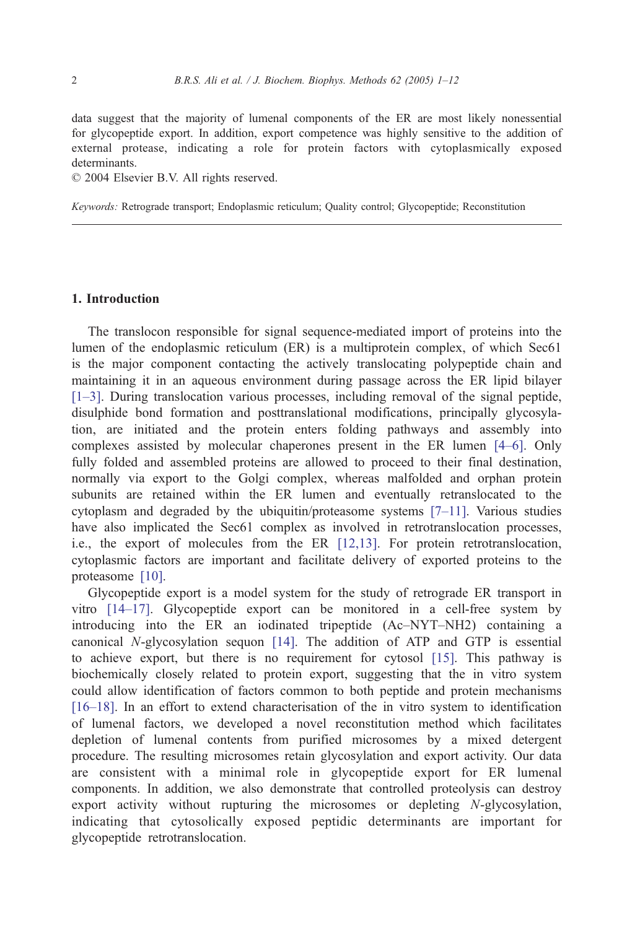data suggest that the majority of lumenal components of the ER are most likely nonessential for glycopeptide export. In addition, export competence was highly sensitive to the addition of external protease, indicating a role for protein factors with cytoplasmically exposed determinants.

 $© 2004 Elsevier B.V. All rights reserved.$ 

Keywords: Retrograde transport; Endoplasmic reticulum; Quality control; Glycopeptide; Reconstitution

## 1. Introduction

The translocon responsible for signal sequence-mediated import of proteins into the lumen of the endoplasmic reticulum (ER) is a multiprotein complex, of which Sec61 is the major component contacting the actively translocating polypeptide chain and maintaining it in an aqueous environment during passage across the ER lipid bilayer [\[1–3\].](#page-10-0) During translocation various processes, including removal of the signal peptide, disulphide bond formation and posttranslational modifications, principally glycosylation, are initiated and the protein enters folding pathways and assembly into complexes assisted by molecular chaperones present in the ER lumen [\[4–6\].](#page-10-0) Only fully folded and assembled proteins are allowed to proceed to their final destination, normally via export to the Golgi complex, whereas malfolded and orphan protein subunits are retained within the ER lumen and eventually retranslocated to the cytoplasm and degraded by the ubiquitin/proteasome systems [\[7–11\].](#page-10-0) Various studies have also implicated the Sec61 complex as involved in retrotranslocation processes, i.e., the export of molecules from the ER [\[12,13\].](#page-10-0) For protein retrotranslocation, cytoplasmic factors are important and facilitate delivery of exported proteins to the proteasome [\[10\].](#page-10-0)

Glycopeptide export is a model system for the study of retrograde ER transport in vitro [\[14–17\].](#page-11-0) Glycopeptide export can be monitored in a cell-free system by introducing into the ER an iodinated tripeptide (Ac–NYT–NH2) containing a canonical N-glycosylation sequon [\[14\].](#page-11-0) The addition of ATP and GTP is essential to achieve export, but there is no requirement for cytosol [\[15\].](#page-11-0) This pathway is biochemically closely related to protein export, suggesting that the in vitro system could allow identification of factors common to both peptide and protein mechanisms [\[16–18\].](#page-11-0) In an effort to extend characterisation of the in vitro system to identification of lumenal factors, we developed a novel reconstitution method which facilitates depletion of lumenal contents from purified microsomes by a mixed detergent procedure. The resulting microsomes retain glycosylation and export activity. Our data are consistent with a minimal role in glycopeptide export for ER lumenal components. In addition, we also demonstrate that controlled proteolysis can destroy export activity without rupturing the microsomes or depleting N-glycosylation, indicating that cytosolically exposed peptidic determinants are important for glycopeptide retrotranslocation.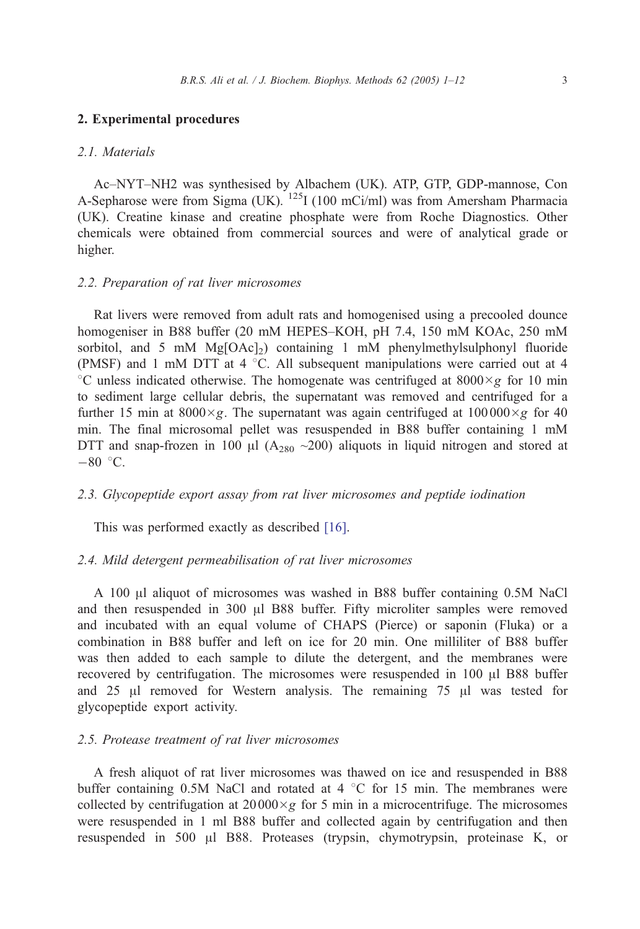#### 2. Experimental procedures

## 2.1. Materials

Ac–NYT–NH2 was synthesised by Albachem (UK). ATP, GTP, GDP-mannose, Con A-Sepharose were from Sigma (UK).  $^{125}$ I (100 mCi/ml) was from Amersham Pharmacia (UK). Creatine kinase and creatine phosphate were from Roche Diagnostics. Other chemicals were obtained from commercial sources and were of analytical grade or higher.

## 2.2. Preparation of rat liver microsomes

Rat livers were removed from adult rats and homogenised using a precooled dounce homogeniser in B88 buffer (20 mM HEPES–KOH, pH 7.4, 150 mM KOAc, 250 mM sorbitol, and 5 mM  $Mg[OAc]_2$ ) containing 1 mM phenylmethylsulphonyl fluoride (PMSF) and 1 mM DTT at 4  $^{\circ}$ C. All subsequent manipulations were carried out at 4 <sup>°</sup>C unless indicated otherwise. The homogenate was centrifuged at 8000 $\times$ g for 10 min to sediment large cellular debris, the supernatant was removed and centrifuged for a further 15 min at 8000 $\times$ g. The supernatant was again centrifuged at 100000 $\times$ g for 40 min. The final microsomal pellet was resuspended in B88 buffer containing 1 mM DTT and snap-frozen in 100  $\mu$ l (A<sub>280</sub> ~200) aliquots in liquid nitrogen and stored at  $-80$  °C.

## 2.3. Glycopeptide export assay from rat liver microsomes and peptide iodination

This was performed exactly as described [\[16\].](#page-11-0)

## 2.4. Mild detergent permeabilisation of rat liver microsomes

A 100 µl aliquot of microsomes was washed in B88 buffer containing 0.5M NaCl and then resuspended in  $300 \mu$ l B88 buffer. Fifty microliter samples were removed and incubated with an equal volume of CHAPS (Pierce) or saponin (Fluka) or a combination in B88 buffer and left on ice for 20 min. One milliliter of B88 buffer was then added to each sample to dilute the detergent, and the membranes were recovered by centrifugation. The microsomes were resuspended in  $100 \mu l$  B88 buffer and 25  $\mu$ l removed for Western analysis. The remaining 75  $\mu$ l was tested for glycopeptide export activity.

#### 2.5. Protease treatment of rat liver microsomes

A fresh aliquot of rat liver microsomes was thawed on ice and resuspended in B88 buffer containing 0.5M NaCl and rotated at 4  $\degree$ C for 15 min. The membranes were collected by centrifugation at  $2000 \times g$  for 5 min in a microcentrifuge. The microsomes were resuspended in 1 ml B88 buffer and collected again by centrifugation and then resuspended in 500  $\mu$ l B88. Proteases (trypsin, chymotrypsin, proteinase K, or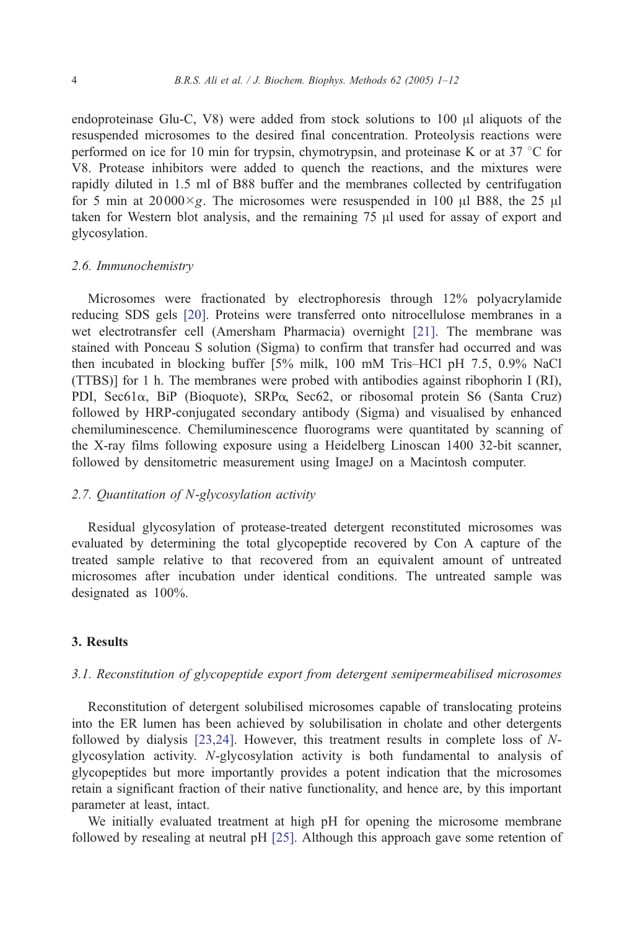endoproteinase Glu-C, V8) were added from stock solutions to  $100 \mu l$  aliquots of the resuspended microsomes to the desired final concentration. Proteolysis reactions were performed on ice for 10 min for trypsin, chymotrypsin, and proteinase K or at 37  $\degree$ C for V8. Protease inhibitors were added to quench the reactions, and the mixtures were rapidly diluted in 1.5 ml of B88 buffer and the membranes collected by centrifugation for 5 min at 20000 $\times$ g. The microsomes were resuspended in 100  $\mu$ l B88, the 25  $\mu$ l taken for Western blot analysis, and the remaining  $75 \mu$ l used for assay of export and glycosylation.

#### 2.6. Immunochemistry

Microsomes were fractionated by electrophoresis through 12% polyacrylamide reducing SDS gels [\[20\].](#page-11-0) Proteins were transferred onto nitrocellulose membranes in a wet electrotransfer cell (Amersham Pharmacia) overnight [\[21\].](#page-11-0) The membrane was stained with Ponceau S solution (Sigma) to confirm that transfer had occurred and was then incubated in blocking buffer [5% milk, 100 mM Tris–HCl pH 7.5, 0.9% NaCl (TTBS)] for 1 h. The membranes were probed with antibodies against ribophorin I (RI), PDI, Sec61 $\alpha$ , BiP (Bioquote), SRP $\alpha$ , Sec62, or ribosomal protein S6 (Santa Cruz) followed by HRP-conjugated secondary antibody (Sigma) and visualised by enhanced chemiluminescence. Chemiluminescence fluorograms were quantitated by scanning of the X-ray films following exposure using a Heidelberg Linoscan 1400 32-bit scanner, followed by densitometric measurement using ImageJ on a Macintosh computer.

#### 2.7. Quantitation of N-glycosylation activity

Residual glycosylation of protease-treated detergent reconstituted microsomes was evaluated by determining the total glycopeptide recovered by Con A capture of the treated sample relative to that recovered from an equivalent amount of untreated microsomes after incubation under identical conditions. The untreated sample was designated as 100%.

## 3. Results

## 3.1. Reconstitution of glycopeptide export from detergent semipermeabilised microsomes

Reconstitution of detergent solubilised microsomes capable of translocating proteins into the ER lumen has been achieved by solubilisation in cholate and other detergents followed by dialysis [\[23,24\].](#page-11-0) However, this treatment results in complete loss of Nglycosylation activity. N-glycosylation activity is both fundamental to analysis of glycopeptides but more importantly provides a potent indication that the microsomes retain a significant fraction of their native functionality, and hence are, by this important parameter at least, intact.

We initially evaluated treatment at high pH for opening the microsome membrane followed by resealing at neutral pH [\[25\].](#page-11-0) Although this approach gave some retention of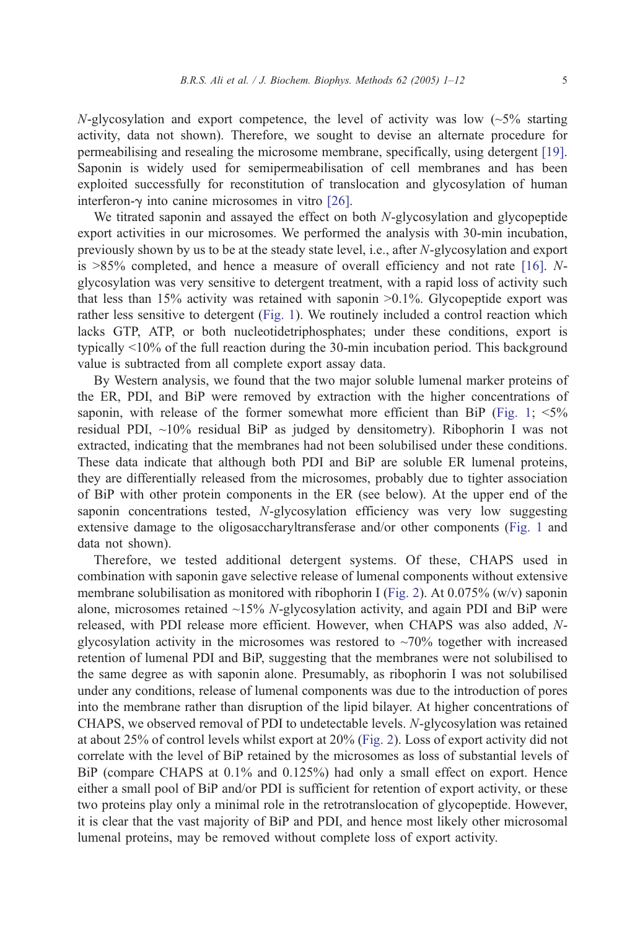N-glycosylation and export competence, the level of activity was low  $\left(\sim 5\%$  starting activity, data not shown). Therefore, we sought to devise an alternate procedure for permeabilising and resealing the microsome membrane, specifically, using detergent [\[19\].](#page-11-0) Saponin is widely used for semipermeabilisation of cell membranes and has been exploited successfully for reconstitution of translocation and glycosylation of human interferon- $\gamma$  into canine microsomes in vitro [\[26\].](#page-11-0)

We titrated saponin and assayed the effect on both N-glycosylation and glycopeptide export activities in our microsomes. We performed the analysis with 30-min incubation, previously shown by us to be at the steady state level, i.e., after N-glycosylation and export is  $>85\%$  completed, and hence a measure of overall efficiency and not rate [\[16\].](#page-11-0) Nglycosylation was very sensitive to detergent treatment, with a rapid loss of activity such that less than  $15\%$  activity was retained with saponin  $>0.1\%$ . Glycopeptide export was rather less sensitive to detergent ([Fig. 1\)](#page-5-0). We routinely included a control reaction which lacks GTP, ATP, or both nucleotidetriphosphates; under these conditions, export is typically  $\leq 10\%$  of the full reaction during the 30-min incubation period. This background value is subtracted from all complete export assay data.

By Western analysis, we found that the two major soluble lumenal marker proteins of the ER, PDI, and BiP were removed by extraction with the higher concentrations of saponin, with release of the former somewhat more efficient than BiP ([Fig. 1;](#page-5-0)  $\leq 5\%$ ) residual PDI, ~10% residual BiP as judged by densitometry). Ribophorin I was not extracted, indicating that the membranes had not been solubilised under these conditions. These data indicate that although both PDI and BiP are soluble ER lumenal proteins, they are differentially released from the microsomes, probably due to tighter association of BiP with other protein components in the ER (see below). At the upper end of the saponin concentrations tested, N-glycosylation efficiency was very low suggesting extensive damage to the oligosaccharyltransferase and/or other components ([Fig. 1](#page-5-0) and data not shown).

Therefore, we tested additional detergent systems. Of these, CHAPS used in combination with saponin gave selective release of lumenal components without extensive membrane solubilisation as monitored with ribophorin I ([Fig. 2\)](#page-6-0). At 0.075% (w/v) saponin alone, microsomes retained  $\sim$ 15% N-glycosylation activity, and again PDI and BiP were released, with PDI release more efficient. However, when CHAPS was also added, Nglycosylation activity in the microsomes was restored to  $~20\%$  together with increased retention of lumenal PDI and BiP, suggesting that the membranes were not solubilised to the same degree as with saponin alone. Presumably, as ribophorin I was not solubilised under any conditions, release of lumenal components was due to the introduction of pores into the membrane rather than disruption of the lipid bilayer. At higher concentrations of CHAPS, we observed removal of PDI to undetectable levels. N-glycosylation was retained at about 25% of control levels whilst export at 20% ([Fig. 2\)](#page-6-0). Loss of export activity did not correlate with the level of BiP retained by the microsomes as loss of substantial levels of BiP (compare CHAPS at  $0.1\%$  and  $0.125\%$ ) had only a small effect on export. Hence either a small pool of BiP and/or PDI is sufficient for retention of export activity, or these two proteins play only a minimal role in the retrotranslocation of glycopeptide. However, it is clear that the vast majority of BiP and PDI, and hence most likely other microsomal lumenal proteins, may be removed without complete loss of export activity.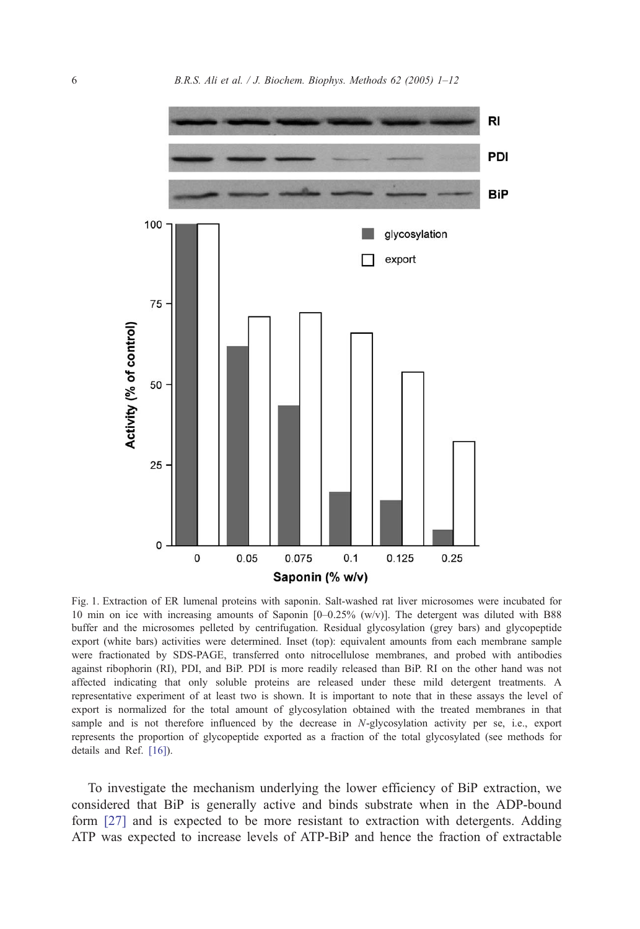<span id="page-5-0"></span>

Fig. 1. Extraction of ER lumenal proteins with saponin. Salt-washed rat liver microsomes were incubated for 10 min on ice with increasing amounts of Saponin [0–0.25% (w/v)]. The detergent was diluted with B88 buffer and the microsomes pelleted by centrifugation. Residual glycosylation (grey bars) and glycopeptide export (white bars) activities were determined. Inset (top): equivalent amounts from each membrane sample were fractionated by SDS-PAGE, transferred onto nitrocellulose membranes, and probed with antibodies against ribophorin (RI), PDI, and BiP. PDI is more readily released than BiP. RI on the other hand was not affected indicating that only soluble proteins are released under these mild detergent treatments. A representative experiment of at least two is shown. It is important to note that in these assays the level of export is normalized for the total amount of glycosylation obtained with the treated membranes in that sample and is not therefore influenced by the decrease in N-glycosylation activity per se, i.e., export represents the proportion of glycopeptide exported as a fraction of the total glycosylated (see methods for details and Ref. [\[16\]\)](#page-11-0).

To investigate the mechanism underlying the lower efficiency of BiP extraction, we considered that BiP is generally active and binds substrate when in the ADP-bound form [\[27\]](#page-11-0) and is expected to be more resistant to extraction with detergents. Adding ATP was expected to increase levels of ATP-BiP and hence the fraction of extractable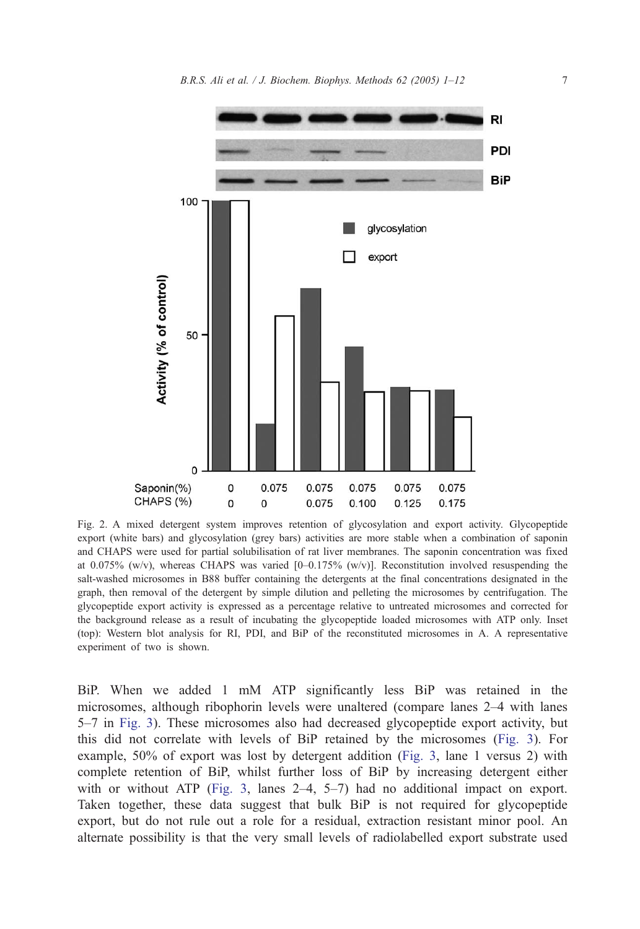<span id="page-6-0"></span>

Fig. 2. A mixed detergent system improves retention of glycosylation and export activity. Glycopeptide export (white bars) and glycosylation (grey bars) activities are more stable when a combination of saponin and CHAPS were used for partial solubilisation of rat liver membranes. The saponin concentration was fixed at 0.075% (w/v), whereas CHAPS was varied  $[0-0.175\%$  (w/v)]. Reconstitution involved resuspending the salt-washed microsomes in B88 buffer containing the detergents at the final concentrations designated in the graph, then removal of the detergent by simple dilution and pelleting the microsomes by centrifugation. The glycopeptide export activity is expressed as a percentage relative to untreated microsomes and corrected for the background release as a result of incubating the glycopeptide loaded microsomes with ATP only. Inset (top): Western blot analysis for RI, PDI, and BiP of the reconstituted microsomes in A. A representative experiment of two is shown.

BiP. When we added 1 mM ATP significantly less BiP was retained in the microsomes, although ribophorin levels were unaltered (compare lanes 2–4 with lanes 5–7 in [Fig. 3\)](#page-7-0). These microsomes also had decreased glycopeptide export activity, but this did not correlate with levels of BiP retained by the microsomes ([Fig. 3\)](#page-7-0). For example, 50% of export was lost by detergent addition ([Fig. 3,](#page-7-0) lane 1 versus 2) with complete retention of BiP, whilst further loss of BiP by increasing detergent either with or without ATP ([Fig. 3,](#page-7-0) lanes  $2-4$ ,  $5-7$ ) had no additional impact on export. Taken together, these data suggest that bulk BiP is not required for glycopeptide export, but do not rule out a role for a residual, extraction resistant minor pool. An alternate possibility is that the very small levels of radiolabelled export substrate used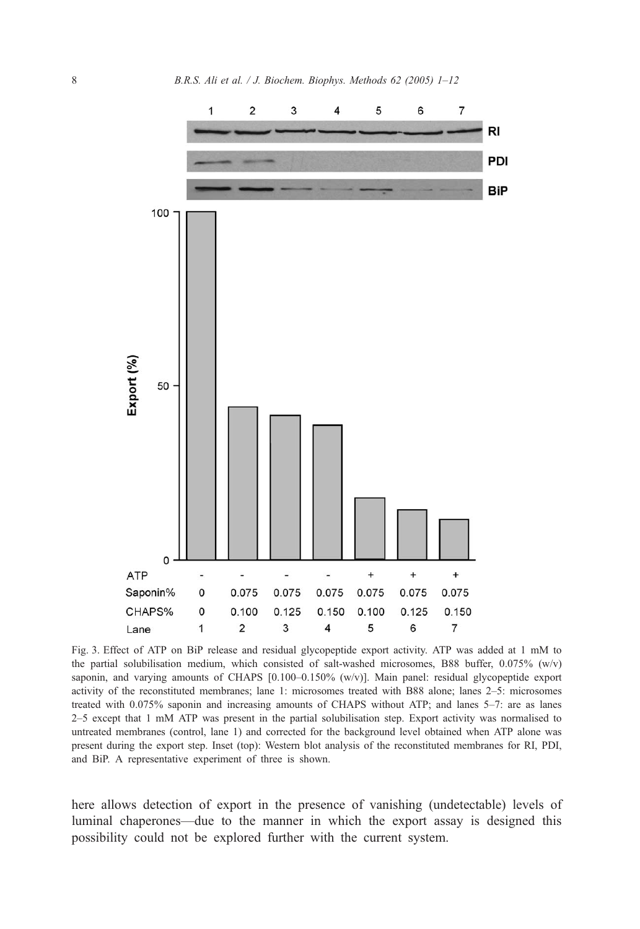<span id="page-7-0"></span>

Fig. 3. Effect of ATP on BiP release and residual glycopeptide export activity. ATP was added at 1 mM to the partial solubilisation medium, which consisted of salt-washed microsomes, B88 buffer, 0.075% (w/v) saponin, and varying amounts of CHAPS [0.100-0.150% (w/v)]. Main panel: residual glycopeptide export activity of the reconstituted membranes; lane 1: microsomes treated with B88 alone; lanes 2–5: microsomes treated with 0.075% saponin and increasing amounts of CHAPS without ATP; and lanes 5–7: are as lanes 2–5 except that 1 mM ATP was present in the partial solubilisation step. Export activity was normalised to untreated membranes (control, lane 1) and corrected for the background level obtained when ATP alone was present during the export step. Inset (top): Western blot analysis of the reconstituted membranes for RI, PDI, and BiP. A representative experiment of three is shown.

here allows detection of export in the presence of vanishing (undetectable) levels of luminal chaperones—due to the manner in which the export assay is designed this possibility could not be explored further with the current system.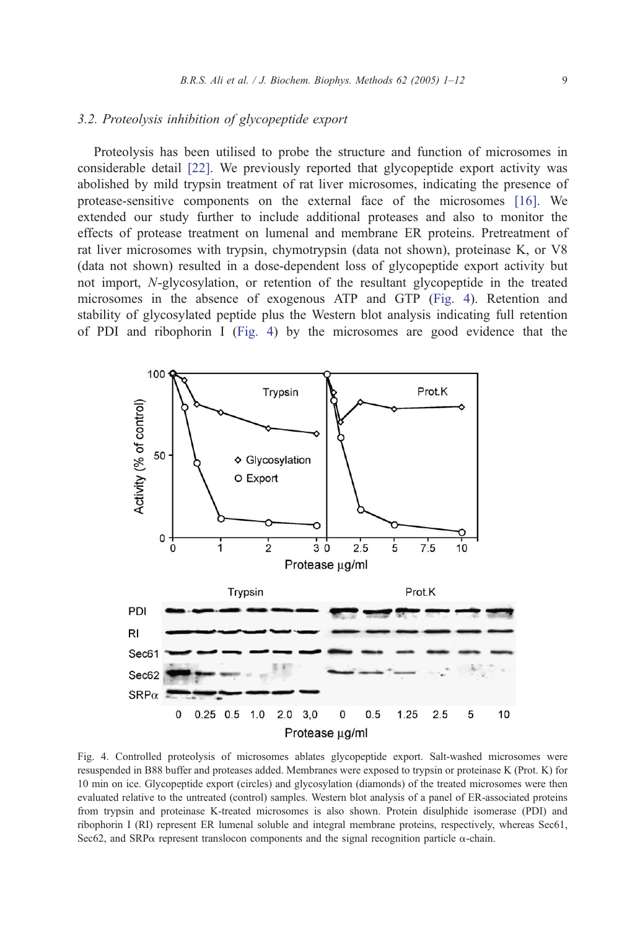## <span id="page-8-0"></span>3.2. Proteolysis inhibition of glycopeptide export

Proteolysis has been utilised to probe the structure and function of microsomes in considerable detail [\[22\].](#page-11-0) We previously reported that glycopeptide export activity was abolished by mild trypsin treatment of rat liver microsomes, indicating the presence of protease-sensitive components on the external face of the microsomes [\[16\].](#page-11-0) We extended our study further to include additional proteases and also to monitor the effects of protease treatment on lumenal and membrane ER proteins. Pretreatment of rat liver microsomes with trypsin, chymotrypsin (data not shown), proteinase K, or V8 (data not shown) resulted in a dose-dependent loss of glycopeptide export activity but not import, N-glycosylation, or retention of the resultant glycopeptide in the treated microsomes in the absence of exogenous ATP and GTP (Fig. 4). Retention and stability of glycosylated peptide plus the Western blot analysis indicating full retention of PDI and ribophorin I (Fig. 4) by the microsomes are good evidence that the



Fig. 4. Controlled proteolysis of microsomes ablates glycopeptide export. Salt-washed microsomes were resuspended in B88 buffer and proteases added. Membranes were exposed to trypsin or proteinase K (Prot. K) for 10 min on ice. Glycopeptide export (circles) and glycosylation (diamonds) of the treated microsomes were then evaluated relative to the untreated (control) samples. Western blot analysis of a panel of ER-associated proteins from trypsin and proteinase K-treated microsomes is also shown. Protein disulphide isomerase (PDI) and ribophorin I (RI) represent ER lumenal soluble and integral membrane proteins, respectively, whereas Sec61, Sec62, and SRP $\alpha$  represent translocon components and the signal recognition particle  $\alpha$ -chain.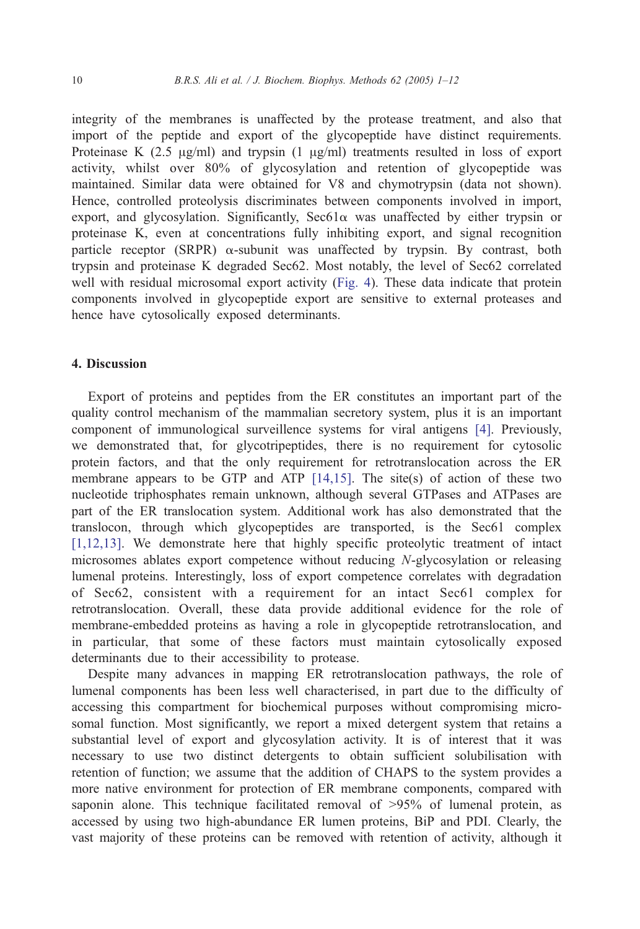integrity of the membranes is unaffected by the protease treatment, and also that import of the peptide and export of the glycopeptide have distinct requirements. Proteinase K  $(2.5 \text{ µg/ml})$  and trypsin  $(1 \text{ µg/ml})$  treatments resulted in loss of export activity, whilst over 80% of glycosylation and retention of glycopeptide was maintained. Similar data were obtained for V8 and chymotrypsin (data not shown). Hence, controlled proteolysis discriminates between components involved in import, export, and glycosylation. Significantly,  $\text{Sec61}\alpha$  was unaffected by either trypsin or proteinase K, even at concentrations fully inhibiting export, and signal recognition particle receptor (SRPR)  $\alpha$ -subunit was unaffected by trypsin. By contrast, both trypsin and proteinase K degraded Sec62. Most notably, the level of Sec62 correlated well with residual microsomal export activity ([Fig. 4\)](#page-8-0). These data indicate that protein components involved in glycopeptide export are sensitive to external proteases and hence have cytosolically exposed determinants.

## 4. Discussion

Export of proteins and peptides from the ER constitutes an important part of the quality control mechanism of the mammalian secretory system, plus it is an important component of immunological surveillence systems for viral antigens [\[4\].](#page-10-0) Previously, we demonstrated that, for glycotripeptides, there is no requirement for cytosolic protein factors, and that the only requirement for retrotranslocation across the ER membrane appears to be GTP and ATP  $[14,15]$ . The site(s) of action of these two nucleotide triphosphates remain unknown, although several GTPases and ATPases are part of the ER translocation system. Additional work has also demonstrated that the translocon, through which glycopeptides are transported, is the Sec61 complex [\[1,12,13\].](#page-10-0) We demonstrate here that highly specific proteolytic treatment of intact microsomes ablates export competence without reducing N-glycosylation or releasing lumenal proteins. Interestingly, loss of export competence correlates with degradation of Sec62, consistent with a requirement for an intact Sec61 complex for retrotranslocation. Overall, these data provide additional evidence for the role of membrane-embedded proteins as having a role in glycopeptide retrotranslocation, and in particular, that some of these factors must maintain cytosolically exposed determinants due to their accessibility to protease.

Despite many advances in mapping ER retrotranslocation pathways, the role of lumenal components has been less well characterised, in part due to the difficulty of accessing this compartment for biochemical purposes without compromising microsomal function. Most significantly, we report a mixed detergent system that retains a substantial level of export and glycosylation activity. It is of interest that it was necessary to use two distinct detergents to obtain sufficient solubilisation with retention of function; we assume that the addition of CHAPS to the system provides a more native environment for protection of ER membrane components, compared with saponin alone. This technique facilitated removal of  $>95\%$  of lumenal protein, as accessed by using two high-abundance ER lumen proteins, BiP and PDI. Clearly, the vast majority of these proteins can be removed with retention of activity, although it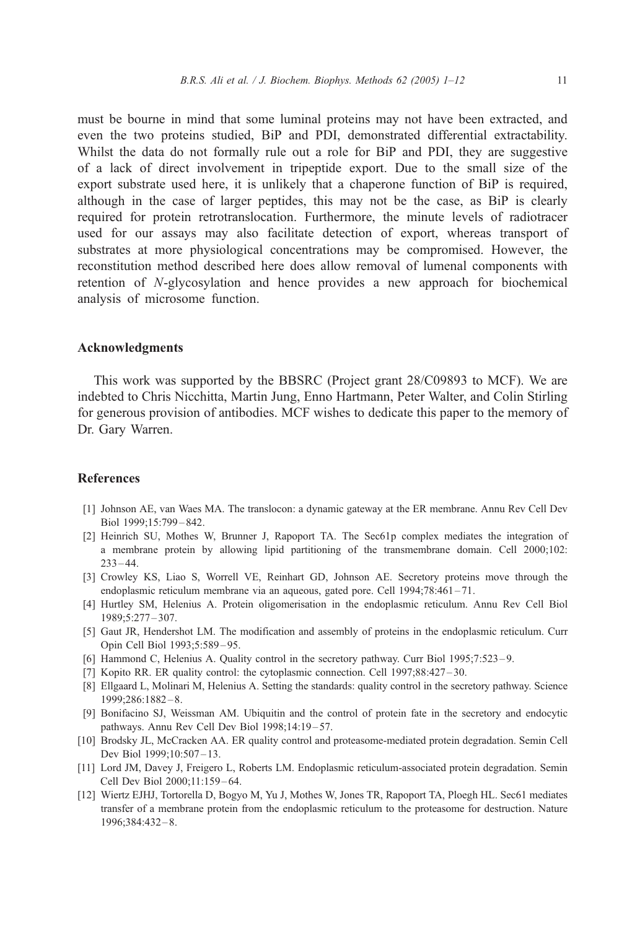<span id="page-10-0"></span>must be bourne in mind that some luminal proteins may not have been extracted, and even the two proteins studied, BiP and PDI, demonstrated differential extractability. Whilst the data do not formally rule out a role for BiP and PDI, they are suggestive of a lack of direct involvement in tripeptide export. Due to the small size of the export substrate used here, it is unlikely that a chaperone function of BiP is required, although in the case of larger peptides, this may not be the case, as BiP is clearly required for protein retrotranslocation. Furthermore, the minute levels of radiotracer used for our assays may also facilitate detection of export, whereas transport of substrates at more physiological concentrations may be compromised. However, the reconstitution method described here does allow removal of lumenal components with retention of N-glycosylation and hence provides a new approach for biochemical analysis of microsome function.

## Acknowledgments

This work was supported by the BBSRC (Project grant 28/C09893 to MCF). We are indebted to Chris Nicchitta, Martin Jung, Enno Hartmann, Peter Walter, and Colin Stirling for generous provision of antibodies. MCF wishes to dedicate this paper to the memory of Dr. Gary Warren.

## References

- [1] Johnson AE, van Waes MA. The translocon: a dynamic gateway at the ER membrane. Annu Rev Cell Dev Biol 1999;15:799 – 842.
- [2] Heinrich SU, Mothes W, Brunner J, Rapoport TA. The Sec61p complex mediates the integration of a membrane protein by allowing lipid partitioning of the transmembrane domain. Cell 2000;102:  $233 - 44.$
- [3] Crowley KS, Liao S, Worrell VE, Reinhart GD, Johnson AE. Secretory proteins move through the endoplasmic reticulum membrane via an aqueous, gated pore. Cell  $1994;78:461 - 71$ .
- [4] Hurtley SM, Helenius A. Protein oligomerisation in the endoplasmic reticulum. Annu Rev Cell Biol 1989;5:277 – 307.
- [5] Gaut JR, Hendershot LM. The modification and assembly of proteins in the endoplasmic reticulum. Curr Opin Cell Biol 1993;5:589 – 95.
- [6] Hammond C, Helenius A. Quality control in the secretory pathway. Curr Biol 1995;7:523 9.
- [7] Kopito RR. ER quality control: the cytoplasmic connection. Cell 1997;88:427 30.
- [8] Ellgaard L, Molinari M, Helenius A. Setting the standards: quality control in the secretory pathway. Science 1999;286:1882 – 8.
- [9] Bonifacino SJ, Weissman AM. Ubiquitin and the control of protein fate in the secretory and endocytic pathways. Annu Rev Cell Dev Biol 1998;14:19-57.
- [10] Brodsky JL, McCracken AA. ER quality control and proteasome-mediated protein degradation. Semin Cell Dev Biol 1999;10:507 – 13.
- [11] Lord JM, Davey J, Freigero L, Roberts LM. Endoplasmic reticulum-associated protein degradation. Semin Cell Dev Biol 2000;11:159 – 64.
- [12] Wiertz EJHJ, Tortorella D, Bogyo M, Yu J, Mothes W, Jones TR, Rapoport TA, Ploegh HL. Sec61 mediates transfer of a membrane protein from the endoplasmic reticulum to the proteasome for destruction. Nature 1996;384:432 – 8.